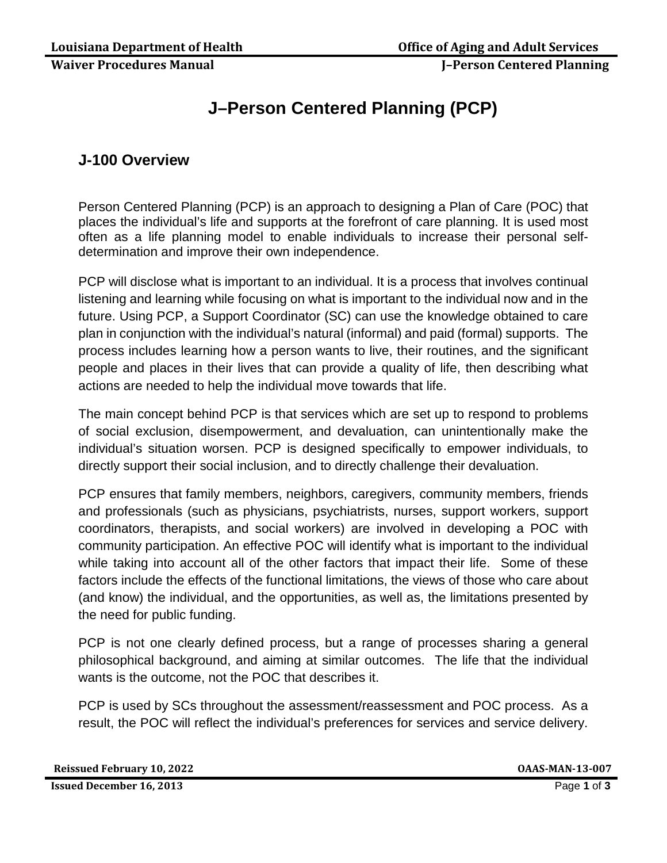### **Waiver Procedures Manual J–Person Centered Planning**

# **J–Person Centered Planning (PCP)**

## **J-100 Overview**

Person Centered Planning (PCP) is an approach to designing a Plan of Care (POC) that places the individual's life and supports at the forefront of care planning. It is used most often as a life planning model to enable individuals to increase their personal selfdetermination and improve their own independence.

PCP will disclose what is important to an individual. It is a process that involves continual listening and learning while focusing on what is important to the individual now and in the future. Using PCP, a Support Coordinator (SC) can use the knowledge obtained to care plan in conjunction with the individual's natural (informal) and paid (formal) supports. The process includes learning how a person wants to live, their routines, and the significant people and places in their lives that can provide a quality of life, then describing what actions are needed to help the individual move towards that life.

The main concept behind PCP is that services which are set up to respond to problems of social exclusion, disempowerment, and devaluation, can unintentionally make the individual's situation worsen. PCP is designed specifically to empower individuals, to directly support their social inclusion, and to directly challenge their devaluation.

PCP ensures that family members, neighbors, caregivers, community members, friends and professionals (such as physicians, psychiatrists, nurses, support workers, support coordinators, therapists, and social workers) are involved in developing a POC with community participation. An effective POC will identify what is important to the individual while taking into account all of the other factors that impact their life. Some of these factors include the effects of the functional limitations, the views of those who care about (and know) the individual, and the opportunities, as well as, the limitations presented by the need for public funding.

PCP is not one clearly defined process, but a range of processes sharing a general philosophical background, and aiming at similar outcomes. The life that the individual wants is the outcome, not the POC that describes it.

PCP is used by SCs throughout the assessment/reassessment and POC process. As a result, the POC will reflect the individual's preferences for services and service delivery.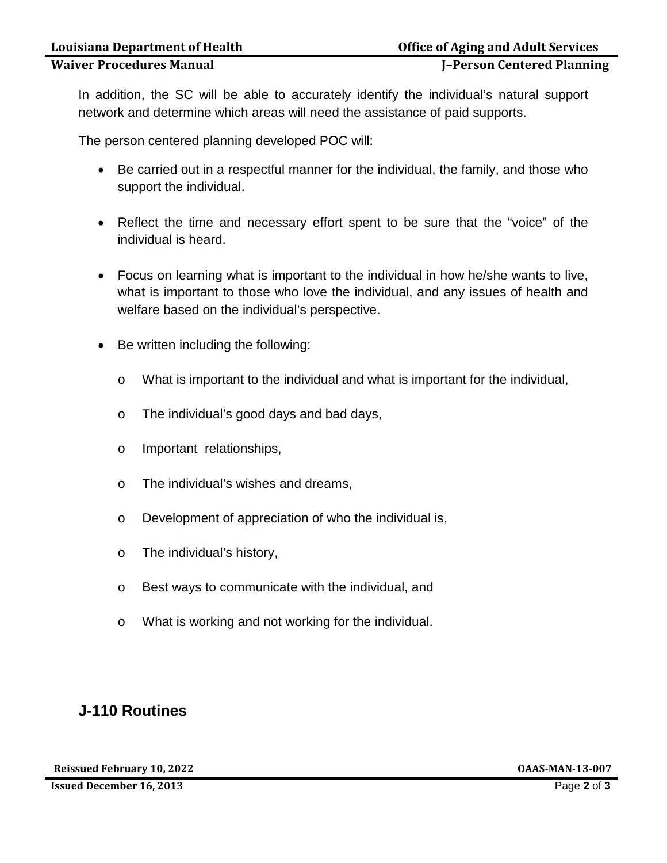### **Waiver Procedures Manual J–Person Centered Planning**

In addition, the SC will be able to accurately identify the individual's natural support network and determine which areas will need the assistance of paid supports.

The person centered planning developed POC will:

- Be carried out in a respectful manner for the individual, the family, and those who support the individual.
- Reflect the time and necessary effort spent to be sure that the "voice" of the individual is heard.
- Focus on learning what is important to the individual in how he/she wants to live, what is important to those who love the individual, and any issues of health and welfare based on the individual's perspective.
- Be written including the following:
	- o What is important to the individual and what is important for the individual,
	- o The individual's good days and bad days,
	- o Important relationships,
	- o The individual's wishes and dreams,
	- o Development of appreciation of who the individual is,
	- o The individual's history,
	- o Best ways to communicate with the individual, and
	- o What is working and not working for the individual.

## **J-110 Routines**